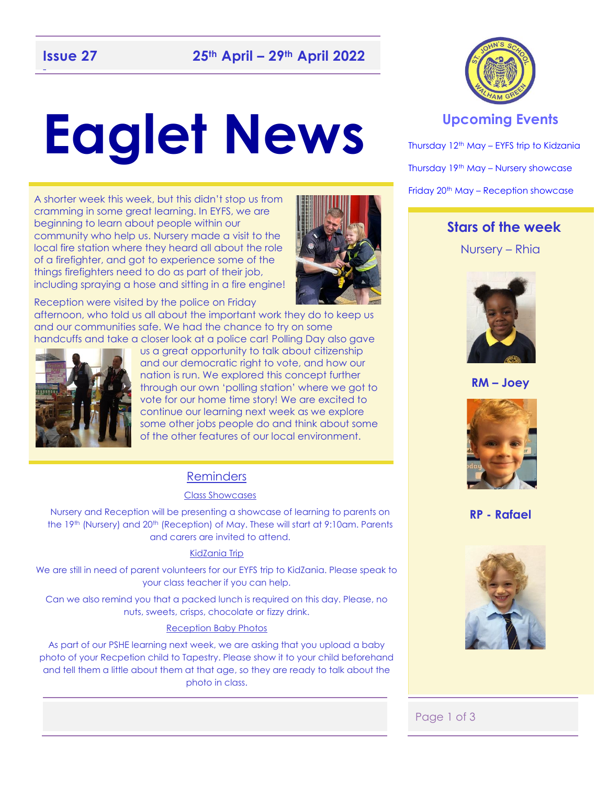# **Eaglet News**

A shorter week this week, but this didn't stop us from cramming in some great learning. In EYFS, we are beginning to learn about people within our community who help us. Nursery made a visit to the local fire station where they heard all about the role of a firefighter, and got to experience some of the things firefighters need to do as part of their job, including spraying a hose and sitting in a fire engine!



Reception were visited by the police on Friday

afternoon, who told us all about the important work they do to keep us and our communities safe. We had the chance to try on some handcuffs and take a closer look at a police car! Polling Day also gave



us a great opportunity to talk about citizenship and our democratic right to vote, and how our nation is run. We explored this concept further through our own 'polling station' where we got to vote for our home time story! We are excited to continue our learning next week as we explore some other jobs people do and think about some of the other features of our local environment.

#### Reminders

#### Class Showcases

Nursery and Reception will be presenting a showcase of learning to parents on the 19<sup>th</sup> (Nursery) and 20<sup>th</sup> (Reception) of May. These will start at 9:10am. Parents and carers are invited to attend.

#### KidZania Trip

We are still in need of parent volunteers for our EYFS trip to KidZania. Please speak to your class teacher if you can help.

Can we also remind you that a packed lunch is required on this day. Please, no nuts, sweets, crisps, chocolate or fizzy drink.

#### Reception Baby Photos

As part of our PSHE learning next week, we are asking that you upload a baby photo of your Recpetion child to Tapestry. Please show it to your child beforehand and tell them a little about them at that age, so they are ready to talk about the photo in class.



#### **Upcoming Events**

Thursday 12th May – EYFS trip to Kidzania Thursday 19th May – Nursery showcase Friday 20<sup>th</sup> May – Reception showcase

#### **Stars of the week**

Nursery – Rhia



**RM – Joey**



**RP - Rafael**



#### Page 1 of 3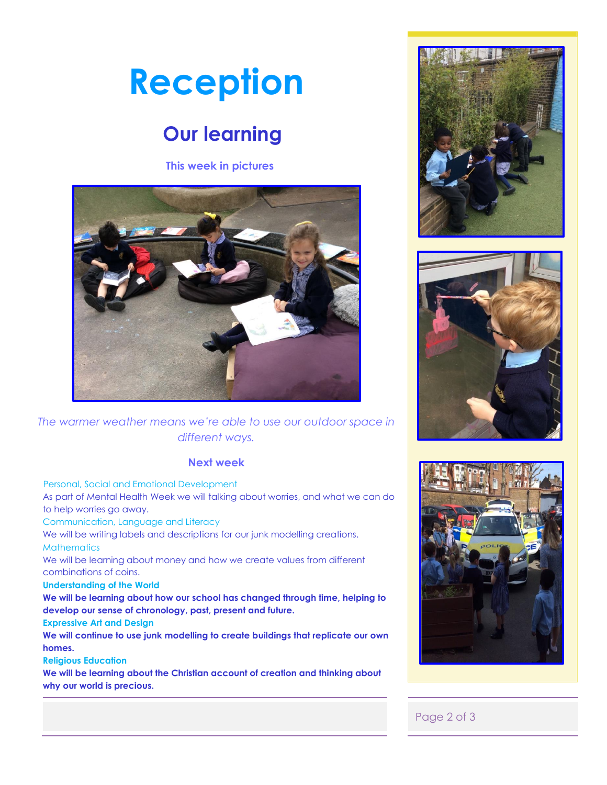## **Reception**

## **Our learning**

**This week in pictures**



#### *The warmer weather means we're able to use our outdoor space in different ways.*

#### **Next week**

Personal, Social and Emotional Development

As part of Mental Health Week we will talking about worries, and what we can do to help worries go away.

Communication, Language and Literacy

We will be writing labels and descriptions for our junk modelling creations. **Mathematics** 

We will be learning about money and how we create values from different combinations of coins.

#### **Understanding of the World**

**We will be learning about how our school has changed through time, helping to develop our sense of chronology, past, present and future.** 

#### **Expressive Art and Design**

**We will continue to use junk modelling to create buildings that replicate our own homes.** 

#### **Religious Education**

**We will be learning about the Christian account of creation and thinking about why our world is precious.** 







#### Page 2 of 3